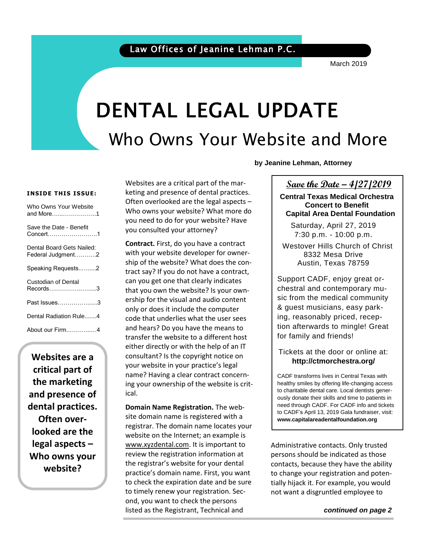March 2019

# DENTAL LEGAL UPDATE Who Owns Your Website and More

**INSIDE THIS ISSUE:**

| Who Owns Your Website<br>and More…………………1      |
|------------------------------------------------|
| Save the Date - Benefit<br>Concert.……………………1   |
| Dental Board Gets Nailed:<br>Federal Judgment2 |
| Speaking Requests2                             |
| Custodian of Dental<br>Records……………………3        |
| Past Issues…………………3                            |
| Dental Radiation Rule4                         |
| About our Firm4                                |

**Websites are a critical part of the marketing and presence of dental practices. Often overlooked are the legal aspects – Who owns your website?**

Websites are a critical part of the marketing and presence of dental practices. Often overlooked are the legal aspects – Who owns your website? What more do you need to do for your website? Have you consulted your attorney?

**Contract.** First, do you have a contract with your website developer for ownership of the website? What does the contract say? If you do not have a contract, can you get one that clearly indicates that you own the website? Is your ownership for the visual and audio content only or does it include the computer code that underlies what the user sees and hears? Do you have the means to transfer the website to a different host either directly or with the help of an IT consultant? Is the copyright notice on your website in your practice's legal name? Having a clear contract concerning your ownership of the website is critical.

**Domain Name Registration.** The website domain name is registered with a registrar. The domain name locates your website on the Internet; an example is [www.xyzdental.com.](http://www.xyzdental.com/) It is important to review the registration information at the registrar's website for your dental practice's domain name. First, you want to check the expiration date and be sure to timely renew your registration. Second, you want to check the persons listed as the Registrant, Technical and

**by Jeanine Lehman, Attorney**

#### **Save the Date – 4/27/2019**

 $\overline{a}$ 

**Central Texas Medical Orchestra Concert to Benefit Capital Area Dental Foundation**

Saturday, April 27, 2019 7:30 p.m. - 10:00 p.m.

Westover Hills Church of Christ 8332 Mesa Drive Austin, Texas 78759

Support CADF, enjoy great orchestral and contemporary music from the medical community & guest musicians, easy parking, reasonably priced, reception afterwards to mingle! Great for family and friends!

#### Tickets at the door or online at: **http://ctmorchestra.org/**

CADF transforms lives in Central Texas with healthy smiles by offering life-changing access to charitable dental care. Local dentists generously donate their skills and time to patients in need through CADF. For CADF info and tickets to CADF's April 13, 2019 Gala fundraiser, visit: **www.capitalareadentalfoundation.org**

Administrative contacts. Only trusted persons should be indicated as those contacts, because they have the ability to change your registration and potentially hijack it. For example, you would not want a disgruntled employee to

*continued on page 2*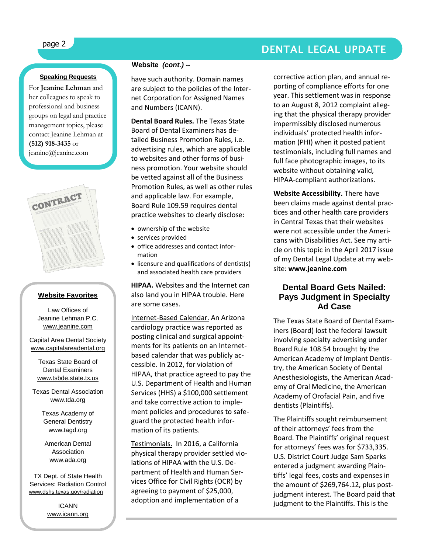# page 2 DENTAL LEGAL UPDATE

#### **Speaking Requests**

For **Jeanine Lehman** and her colleagues to speak to professional and business groups on legal and practice management topics, please contact Jeanine Lehman at **(512) 918-3435** or [jeanine@jeanine.com](mailto:jeanine@jeanine.com)



ì

#### **Website Favorites**

Law Offices of Jeanine Lehman P.C. [www.jeanine.com](http://www.jeanine.com/)

Capital Area Dental Society [www.capitalareadental.org](http://www.capitalareadental.org/)

Texas State Board of Dental Examiners [www.tsbde.state.tx.us](http://www.tsbde.state.tx.us/)

Texas Dental Association [www.tda.org](http://www.tda.org/)

> Texas Academy of General Dentistry [www.tagd.org](http://www.tagd.org/)

American Dental Association [www.ada.org](http://www.ada.org/)

TX Dept. of State Health Services: Radiation Control [www.dshs.texas.gov/radiation](http://www.dshs.texas.gov/radiation)

> ICANN www.icann.org

#### **Website** *(cont.) --*

have such authority. Domain names are subject to the policies of the Internet Corporation for Assigned Names and Numbers (ICANN).

**Dental Board Rules.** The Texas State Board of Dental Examiners has detailed Business Promotion Rules, i.e. advertising rules, which are applicable to websites and other forms of business promotion. Your website should be vetted against all of the Business Promotion Rules, as well as other rules and applicable law. For example, Board Rule 109.59 requires dental practice websites to clearly disclose:

- ownership of the website
- services provided
- office addresses and contact information
- licensure and qualifications of dentist(s) and associated health care providers

**HIPAA.** Websites and the Internet can also land you in HIPAA trouble. Here are some cases.

Internet-Based Calendar. An Arizona cardiology practice was reported as posting clinical and surgical appointments for its patients on an Internetbased calendar that was publicly accessible. In 2012, for violation of HIPAA, that practice agreed to pay the U.S. Department of Health and Human Services (HHS) a \$100,000 settlement and take corrective action to implement policies and procedures to safeguard the protected health information of its patients.

Testimonials. In 2016, a California physical therapy provider settled violations of HIPAA with the U.S. Department of Health and Human Services Office for Civil Rights (OCR) by agreeing to payment of \$25,000, adoption and implementation of a

corrective action plan, and annual reporting of compliance efforts for one year. This settlement was in response to an August 8, 2012 complaint alleging that the physical therapy provider impermissibly disclosed numerous individuals' protected health information (PHI) when it posted patient testimonials, including full names and full face photographic images, to its website without obtaining valid, HIPAA-compliant authorizations.

**Website Accessibility.** There have been claims made against dental practices and other health care providers in Central Texas that their websites were not accessible under the Americans with Disabilities Act. See my article on this topic in the April 2017 issue of my Dental Legal Update at my website: **www.jeanine.com**

#### **Dental Board Gets Nailed: Pays Judgment in Specialty Ad Case**

The Texas State Board of Dental Examiners (Board) lost the federal lawsuit involving specialty advertising under Board Rule 108.54 brought by the American Academy of Implant Dentistry, the American Society of Dental Anesthesiologists, the American Academy of Oral Medicine, the American Academy of Orofacial Pain, and five dentists (Plaintiffs).

The Plaintiffs sought reimbursement of their attorneys' fees from the Board. The Plaintiffs' original request for attorneys' fees was for \$733,335. U.S. District Court Judge Sam Sparks entered a judgment awarding Plaintiffs' legal fees, costs and expenses in the amount of \$269,764.12, plus postjudgment interest. The Board paid that judgment to the Plaintiffs. This is the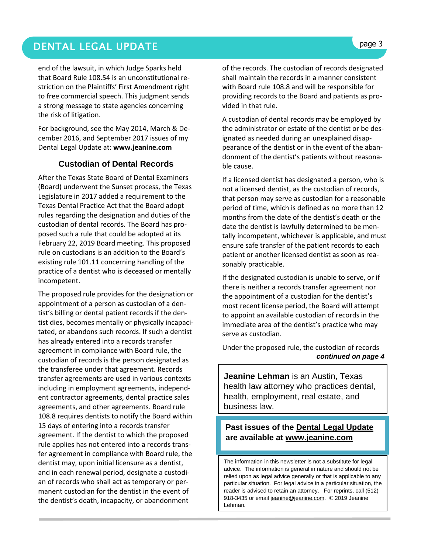## DENTAL LEGAL UPDATE **page 3**

end of the lawsuit, in which Judge Sparks held that Board Rule 108.54 is an unconstitutional restriction on the Plaintiffs' First Amendment right to free commercial speech. This judgment sends a strong message to state agencies concerning the risk of litigation.

For background, see the May 2014, March & December 2016, and September 2017 issues of my Dental Legal Update at: **[www.jeanine.com](http://www.jeanine.com/)**

#### **Custodian of Dental Records**

After the Texas State Board of Dental Examiners (Board) underwent the Sunset process, the Texas Legislature in 2017 added a requirement to the Texas Dental Practice Act that the Board adopt rules regarding the designation and duties of the custodian of dental records. The Board has proposed such a rule that could be adopted at its February 22, 2019 Board meeting. This proposed rule on custodians is an addition to the Board's existing rule 101.11 concerning handling of the practice of a dentist who is deceased or mentally incompetent.

The proposed rule provides for the designation or appointment of a person as custodian of a dentist's billing or dental patient records if the dentist dies, becomes mentally or physically incapacitated, or abandons such records. If such a dentist has already entered into a records transfer agreement in compliance with Board rule, the custodian of records is the person designated as the transferee under that agreement. Records transfer agreements are used in various contexts including in employment agreements, independent contractor agreements, dental practice sales agreements, and other agreements. Board rule 108.8 requires dentists to notify the Board within 15 days of entering into a records transfer agreement. If the dentist to which the proposed rule applies has not entered into a records transfer agreement in compliance with Board rule, the dentist may, upon initial licensure as a dentist, and in each renewal period, designate a custodian of records who shall act as temporary or permanent custodian for the dentist in the event of the dentist's death, incapacity, or abandonment

of the records. The custodian of records designated shall maintain the records in a manner consistent with Board rule 108.8 and will be responsible for providing records to the Board and patients as provided in that rule.

A custodian of dental records may be employed by the administrator or estate of the dentist or be designated as needed during an unexplained disappearance of the dentist or in the event of the abandonment of the dentist's patients without reasonable cause.

If a licensed dentist has designated a person, who is not a licensed dentist, as the custodian of records, that person may serve as custodian for a reasonable period of time, which is defined as no more than 12 months from the date of the dentist's death or the date the dentist is lawfully determined to be mentally incompetent, whichever is applicable, and must ensure safe transfer of the patient records to each patient or another licensed dentist as soon as reasonably practicable.

If the designated custodian is unable to serve, or if there is neither a records transfer agreement nor the appointment of a custodian for the dentist's most recent license period, the Board will attempt to appoint an available custodian of records in the immediate area of the dentist's practice who may serve as custodian.

 *continued on page 4* Under the proposed rule, the custodian of records

**Jeanine Lehman** is an Austin, Texas health law attorney who practices dental, health, employment, real estate, and business law.

#### **Past issues of the Dental Legal Update are available at [www.jeanine.com](http://www.jeanine.com/)**

The information in this newsletter is not a substitute for legal advice. The information is general in nature and should not be relied upon as legal advice generally or that is applicable to any particular situation. For legal advice in a particular situation, the reader is advised to retain an attorney. For reprints, call (512) 918-3435 or email [jeanine@jeanine.com.](mailto:jeanine@jeanine.com) © 2019 Jeanine Lehman.